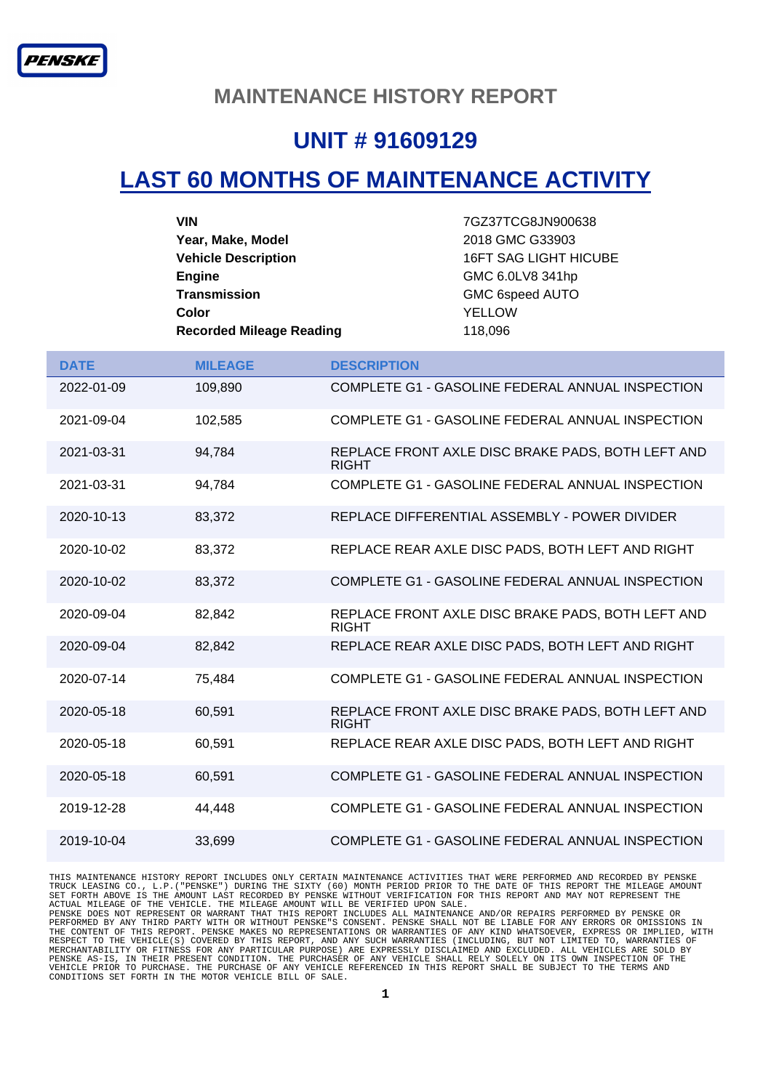#### **MAINTENANCE HISTORY REPORT**

### **UNIT # 91609129**

## **LAST 60 MONTHS OF MAINTENANCE ACTIVITY**

| <b>VIN</b>                      | 7GZ37TCG8JN900638            |
|---------------------------------|------------------------------|
| Year, Make, Model               | 2018 GMC G33903              |
| <b>Vehicle Description</b>      | <b>16FT SAG LIGHT HICUBE</b> |
| <b>Engine</b>                   | GMC 6.0LV8 341hp             |
| <b>Transmission</b>             | <b>GMC 6speed AUTO</b>       |
| Color                           | YELLOW                       |
| <b>Recorded Mileage Reading</b> | 118,096                      |

| <b>DATE</b> | <b>MILEAGE</b> | <b>DESCRIPTION</b>                                                |
|-------------|----------------|-------------------------------------------------------------------|
| 2022-01-09  | 109,890        | COMPLETE G1 - GASOLINE FEDERAL ANNUAL INSPECTION                  |
| 2021-09-04  | 102,585        | COMPLETE G1 - GASOLINE FEDERAL ANNUAL INSPECTION                  |
| 2021-03-31  | 94,784         | REPLACE FRONT AXLE DISC BRAKE PADS, BOTH LEFT AND<br><b>RIGHT</b> |
| 2021-03-31  | 94.784         | COMPLETE G1 - GASOLINE FEDERAL ANNUAL INSPECTION                  |
| 2020-10-13  | 83,372         | REPLACE DIFFERENTIAL ASSEMBLY - POWER DIVIDER                     |
| 2020-10-02  | 83,372         | REPLACE REAR AXLE DISC PADS, BOTH LEFT AND RIGHT                  |
| 2020-10-02  | 83,372         | COMPLETE G1 - GASOLINE FEDERAL ANNUAL INSPECTION                  |
| 2020-09-04  | 82,842         | REPLACE FRONT AXLE DISC BRAKE PADS, BOTH LEFT AND<br><b>RIGHT</b> |
| 2020-09-04  | 82,842         | REPLACE REAR AXLE DISC PADS, BOTH LEFT AND RIGHT                  |
| 2020-07-14  | 75,484         | COMPLETE G1 - GASOLINE FEDERAL ANNUAL INSPECTION                  |
| 2020-05-18  | 60,591         | REPLACE FRONT AXLE DISC BRAKE PADS, BOTH LEFT AND<br><b>RIGHT</b> |
| 2020-05-18  | 60,591         | REPLACE REAR AXLE DISC PADS, BOTH LEFT AND RIGHT                  |
| 2020-05-18  | 60,591         | COMPLETE G1 - GASOLINE FEDERAL ANNUAL INSPECTION                  |
| 2019-12-28  | 44,448         | COMPLETE G1 - GASOLINE FEDERAL ANNUAL INSPECTION                  |
| 2019-10-04  | 33,699         | COMPLETE G1 - GASOLINE FEDERAL ANNUAL INSPECTION                  |

THIS MAINTENANCE HISTORY REPORT INCLUDES ONLY CERTAIN MAINTENANCE ACTIVITIES THAT WERE PERFORMED AND RECORDED BY PENSKE<br>TRUCK LEASING CO., L.P. ("PENSKE") DURING THE SIXTY (60) MONTH PERIOD PRIOR TO THE DATE OF THIS REPORT MERCHANTABILITY OR FITNESS FOR ANY PARTICULAR PURPOSE) ARE EXPRESSLY DISCLAIMED AND EXCLUDED. ALL VEHICLES ARE SOLD BY<br>PENSKE AS-IS, IN THEIR PRESENT CONDITION. THE PURCHASER OF ANY VEHICLE SHALL RELY SOLELY ON ITS OWN INS